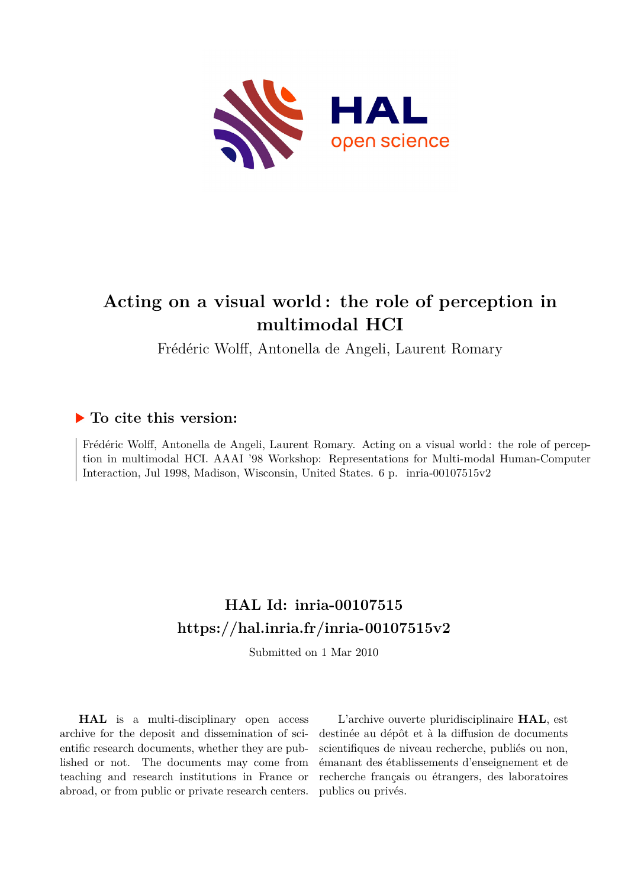

# **Acting on a visual world : the role of perception in multimodal HCI**

Frédéric Wolff, Antonella de Angeli, Laurent Romary

## **To cite this version:**

Frédéric Wolff, Antonella de Angeli, Laurent Romary. Acting on a visual world : the role of perception in multimodal HCI. AAAI '98 Workshop: Representations for Multi-modal Human-Computer Interaction, Jul 1998, Madison, Wisconsin, United States. 6 p. inria-00107515v2

## **HAL Id: inria-00107515 <https://hal.inria.fr/inria-00107515v2>**

Submitted on 1 Mar 2010

**HAL** is a multi-disciplinary open access archive for the deposit and dissemination of scientific research documents, whether they are published or not. The documents may come from teaching and research institutions in France or abroad, or from public or private research centers.

L'archive ouverte pluridisciplinaire **HAL**, est destinée au dépôt et à la diffusion de documents scientifiques de niveau recherche, publiés ou non, émanant des établissements d'enseignement et de recherche français ou étrangers, des laboratoires publics ou privés.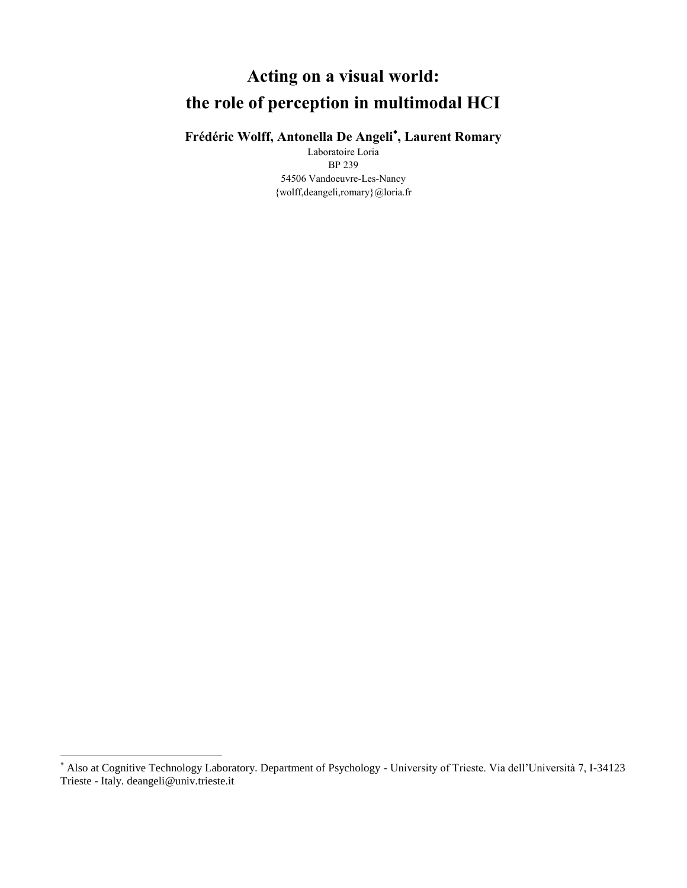# **Acting on a visual world: the role of perception in multimodal HCI**

### **Frédéric Wolff, Antonella De Angeli , Laurent Romary**

Laboratoire Loria BP 239 54506 Vandoeuvre-Les-Nancy {wolff,deangeli,romary}@loria.fr

l

Also at Cognitive Technology Laboratory. Department of Psychology - University of Trieste. Via dell'Università 7, I-34123 Trieste - Italy. deangeli@univ.trieste.it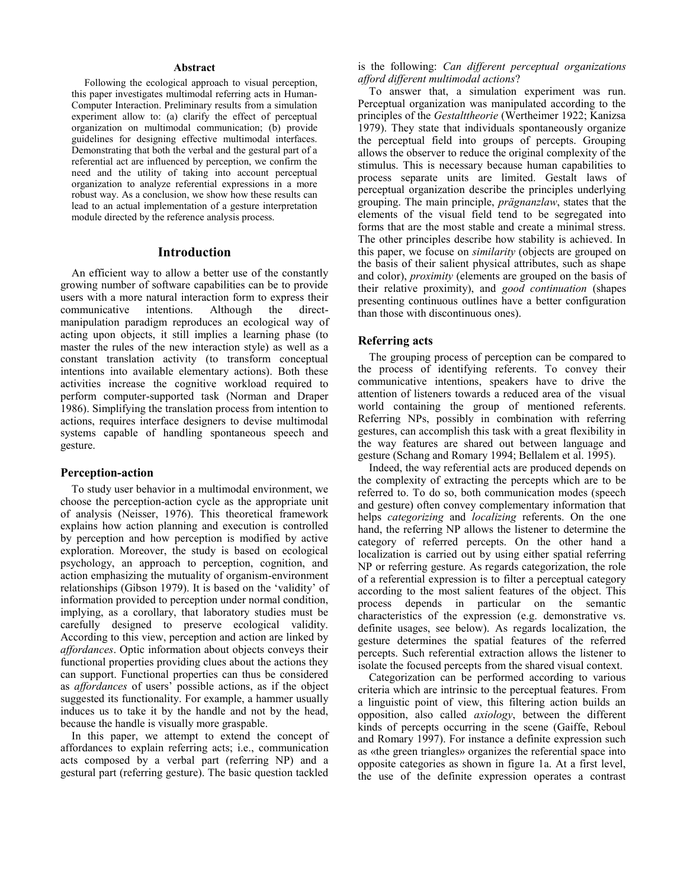#### **Abstract**

Following the ecological approach to visual perception, this paper investigates multimodal referring acts in Human-Computer Interaction. Preliminary results from a simulation experiment allow to: (a) clarify the effect of perceptual organization on multimodal communication; (b) provide guidelines for designing effective multimodal interfaces. Demonstrating that both the verbal and the gestural part of a referential act are influenced by perception, we confirm the need and the utility of taking into account perceptual organization to analyze referential expressions in a more robust way. As a conclusion, we show how these results can lead to an actual implementation of a gesture interpretation module directed by the reference analysis process.

#### **Introduction**

An efficient way to allow a better use of the constantly growing number of software capabilities can be to provide users with a more natural interaction form to express their<br>communicative intentions. Although the direct $communicative$  intentions. Although the manipulation paradigm reproduces an ecological way of acting upon objects, it still implies a learning phase (to master the rules of the new interaction style) as well as a constant translation activity (to transform conceptual intentions into available elementary actions). Both these activities increase the cognitive workload required to perform computer-supported task (Norman and Draper 1986). Simplifying the translation process from intention to actions, requires interface designers to devise multimodal systems capable of handling spontaneous speech and gesture.

#### **Perception-action**

To study user behavior in a multimodal environment, we choose the perception-action cycle as the appropriate unit of analysis (Neisser, 1976). This theoretical framework explains how action planning and execution is controlled by perception and how perception is modified by active exploration. Moreover, the study is based on ecological psychology, an approach to perception, cognition, and action emphasizing the mutuality of organism-environment relationships (Gibson 1979). It is based on the 'validity' of information provided to perception under normal condition, implying, as a corollary, that laboratory studies must be carefully designed to preserve ecological validity. According to this view, perception and action are linked by *affordances*. Optic information about objects conveys their functional properties providing clues about the actions they can support. Functional properties can thus be considered as *affordances* of users' possible actions, as if the object suggested its functionality. For example, a hammer usually induces us to take it by the handle and not by the head, because the handle is visually more graspable.

In this paper, we attempt to extend the concept of affordances to explain referring acts; i.e., communication acts composed by a verbal part (referring NP) and a gestural part (referring gesture). The basic question tackled is the following: *Can different perceptual organizations afford different multimodal actions*?

To answer that, a simulation experiment was run. Perceptual organization was manipulated according to the principles of the *Gestalttheorie* (Wertheimer 1922; Kanizsa 1979). They state that individuals spontaneously organize the perceptual field into groups of percepts. Grouping allows the observer to reduce the original complexity of the stimulus. This is necessary because human capabilities to process separate units are limited. Gestalt laws of perceptual organization describe the principles underlying grouping. The main principle, *prägnanzlaw*, states that the elements of the visual field tend to be segregated into forms that are the most stable and create a minimal stress. The other principles describe how stability is achieved. In this paper, we focuse on *similarity* (objects are grouped on the basis of their salient physical attributes, such as shape and color), *proximity* (elements are grouped on the basis of their relative proximity), and *good continuation* (shapes presenting continuous outlines have a better configuration than those with discontinuous ones).

#### **Referring acts**

The grouping process of perception can be compared to the process of identifying referents. To convey their communicative intentions, speakers have to drive the attention of listeners towards a reduced area of the visual world containing the group of mentioned referents. Referring NPs, possibly in combination with referring gestures, can accomplish this task with a great flexibility in the way features are shared out between language and gesture (Schang and Romary 1994; Bellalem et al. 1995).

Indeed, the way referential acts are produced depends on the complexity of extracting the percepts which are to be referred to. To do so, both communication modes (speech and gesture) often convey complementary information that helps *categorizing* and *localizing* referents. On the one hand, the referring NP allows the listener to determine the category of referred percepts. On the other hand a localization is carried out by using either spatial referring NP or referring gesture. As regards categorization, the role of a referential expression is to filter a perceptual category according to the most salient features of the object. This process depends in particular on the semantic characteristics of the expression (e.g. demonstrative vs. definite usages, see below). As regards localization, the gesture determines the spatial features of the referred percepts. Such referential extraction allows the listener to isolate the focused percepts from the shared visual context.

Categorization can be performed according to various criteria which are intrinsic to the perceptual features. From a linguistic point of view, this filtering action builds an opposition, also called *axiology*, between the different kinds of percepts occurring in the scene (Gaiffe, Reboul and Romary 1997). For instance a definite expression such as «the green triangles» organizes the referential space into opposite categories as shown in figure 1a. At a first level, the use of the definite expression operates a contrast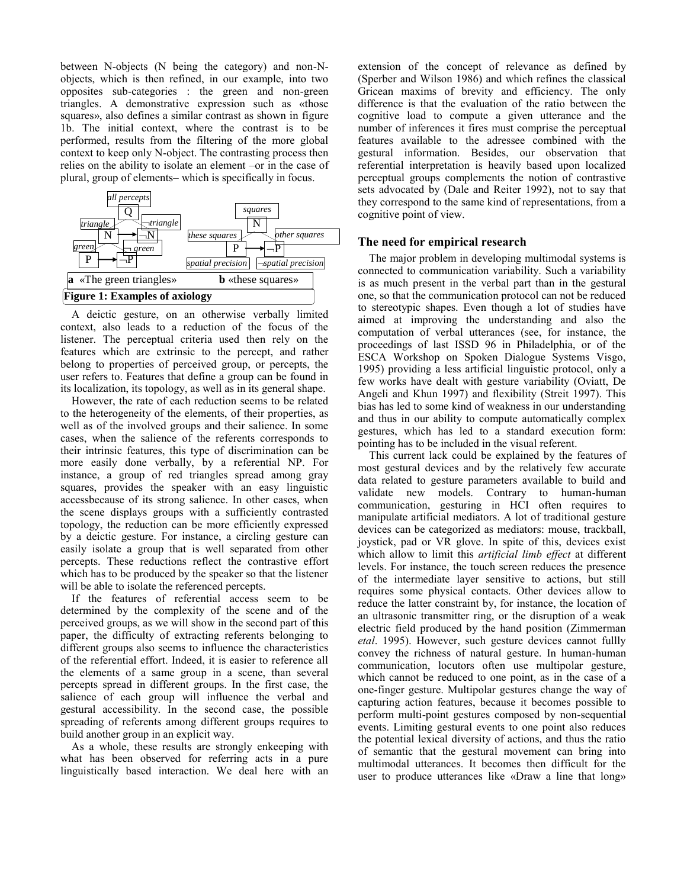between N-objects (N being the category) and non-Nobjects, which is then refined, in our example, into two opposites sub-categories : the green and non-green triangles. A demonstrative expression such as «those squares», also defines a similar contrast as shown in figure 1b. The initial context, where the contrast is to be performed, results from the filtering of the more global context to keep only N-object. The contrasting process then relies on the ability to isolate an element –or in the case of plural, group of elements– which is specifically in focus.



A deictic gesture, on an otherwise verbally limited context, also leads to a reduction of the focus of the listener. The perceptual criteria used then rely on the features which are extrinsic to the percept, and rather belong to properties of perceived group, or percepts, the user refers to. Features that define a group can be found in its localization, its topology, as well as in its general shape.

However, the rate of each reduction seems to be related to the heterogeneity of the elements, of their properties, as well as of the involved groups and their salience. In some cases, when the salience of the referents corresponds to their intrinsic features, this type of discrimination can be more easily done verbally, by a referential NP. For instance, a group of red triangles spread among gray squares, provides the speaker with an easy linguistic accessbecause of its strong salience. In other cases, when the scene displays groups with a sufficiently contrasted topology, the reduction can be more efficiently expressed by a deictic gesture. For instance, a circling gesture can easily isolate a group that is well separated from other percepts. These reductions reflect the contrastive effort which has to be produced by the speaker so that the listener will be able to isolate the referenced percepts.

If the features of referential access seem to be determined by the complexity of the scene and of the perceived groups, as we will show in the second part of this paper, the difficulty of extracting referents belonging to different groups also seems to influence the characteristics of the referential effort. Indeed, it is easier to reference all the elements of a same group in a scene, than several percepts spread in different groups. In the first case, the salience of each group will influence the verbal and gestural accessibility. In the second case, the possible spreading of referents among different groups requires to build another group in an explicit way.

As a whole, these results are strongly enkeeping with what has been observed for referring acts in a pure linguistically based interaction. We deal here with an extension of the concept of relevance as defined by (Sperber and Wilson 1986) and which refines the classical Gricean maxims of brevity and efficiency. The only difference is that the evaluation of the ratio between the cognitive load to compute a given utterance and the number of inferences it fires must comprise the perceptual features available to the adressee combined with the gestural information. Besides, our observation that referential interpretation is heavily based upon localized perceptual groups complements the notion of contrastive sets advocated by (Dale and Reiter 1992), not to say that they correspond to the same kind of representations, from a cognitive point of view.

#### **The need for empirical research**

The major problem in developing multimodal systems is connected to communication variability. Such a variability is as much present in the verbal part than in the gestural one, so that the communication protocol can not be reduced to stereotypic shapes. Even though a lot of studies have aimed at improving the understanding and also the computation of verbal utterances (see, for instance, the proceedings of last ISSD 96 in Philadelphia, or of the ESCA Workshop on Spoken Dialogue Systems Visgo, 1995) providing a less artificial linguistic protocol, only a few works have dealt with gesture variability (Oviatt, De Angeli and Khun 1997) and flexibility (Streit 1997). This bias has led to some kind of weakness in our understanding and thus in our ability to compute automatically complex gestures, which has led to a standard execution form: pointing has to be included in the visual referent.

This current lack could be explained by the features of most gestural devices and by the relatively few accurate data related to gesture parameters available to build and validate new models. Contrary to human-human communication, gesturing in HCI often requires to manipulate artificial mediators. A lot of traditional gesture devices can be categorized as mediators: mouse, trackball, joystick, pad or VR glove. In spite of this, devices exist which allow to limit this *artificial limb effect* at different levels. For instance, the touch screen reduces the presence of the intermediate layer sensitive to actions, but still requires some physical contacts. Other devices allow to reduce the latter constraint by, for instance, the location of an ultrasonic transmitter ring, or the disruption of a weak electric field produced by the hand position (Zimmerman *etal*. 1995). However, such gesture devices cannot fullly convey the richness of natural gesture. In human-human communication, locutors often use multipolar gesture, which cannot be reduced to one point, as in the case of a one-finger gesture. Multipolar gestures change the way of capturing action features, because it becomes possible to perform multi-point gestures composed by non-sequential events. Limiting gestural events to one point also reduces the potential lexical diversity of actions, and thus the ratio of semantic that the gestural movement can bring into multimodal utterances. It becomes then difficult for the user to produce utterances like «Draw a line that long»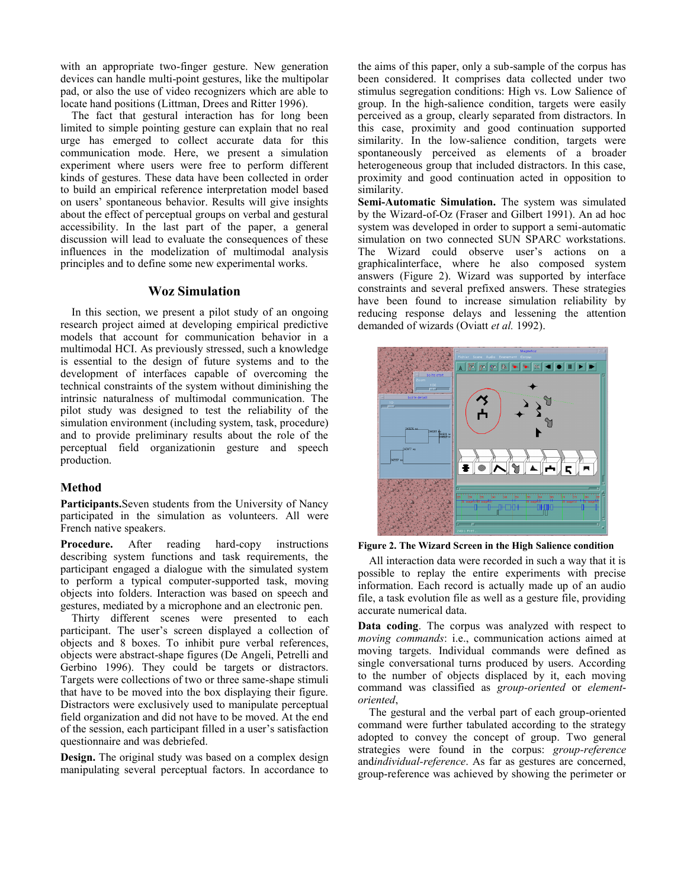with an appropriate two-finger gesture. New generation devices can handle multi-point gestures, like the multipolar pad, or also the use of video recognizers which are able to locate hand positions (Littman, Drees and Ritter 1996).

The fact that gestural interaction has for long been limited to simple pointing gesture can explain that no real urge has emerged to collect accurate data for this communication mode. Here, we present a simulation experiment where users were free to perform different kinds of gestures. These data have been collected in order to build an empirical reference interpretation model based on users' spontaneous behavior. Results will give insights about the effect of perceptual groups on verbal and gestural accessibility. In the last part of the paper, a general discussion will lead to evaluate the consequences of these influences in the modelization of multimodal analysis principles and to define some new experimental works.

#### **Woz Simulation**

In this section, we present a pilot study of an ongoing research project aimed at developing empirical predictive models that account for communication behavior in a multimodal HCI. As previously stressed, such a knowledge is essential to the design of future systems and to the development of interfaces capable of overcoming the technical constraints of the system without diminishing the intrinsic naturalness of multimodal communication. The pilot study was designed to test the reliability of the simulation environment (including system, task, procedure) and to provide preliminary results about the role of the perceptual field organizationin gesture and speech production.

#### **Method**

**Participants.**Seven students from the University of Nancy participated in the simulation as volunteers. All were French native speakers.

**Procedure.** After reading hard-copy instructions describing system functions and task requirements, the participant engaged a dialogue with the simulated system to perform a typical computer-supported task, moving objects into folders. Interaction was based on speech and gestures, mediated by a microphone and an electronic pen.

Thirty different scenes were presented to each participant. The user's screen displayed a collection of objects and 8 boxes. To inhibit pure verbal references, objects were abstract-shape figures (De Angeli, Petrelli and Gerbino 1996). They could be targets or distractors. Targets were collections of two or three same-shape stimuli that have to be moved into the box displaying their figure. Distractors were exclusively used to manipulate perceptual field organization and did not have to be moved. At the end of the session, each participant filled in a user's satisfaction questionnaire and was debriefed.

**Design.** The original study was based on a complex design manipulating several perceptual factors. In accordance to

the aims of this paper, only a sub-sample of the corpus has been considered. It comprises data collected under two stimulus segregation conditions: High vs. Low Salience of group. In the high-salience condition, targets were easily perceived as a group, clearly separated from distractors. In this case, proximity and good continuation supported similarity. In the low-salience condition, targets were spontaneously perceived as elements of a broader heterogeneous group that included distractors. In this case, proximity and good continuation acted in opposition to similarity.

**Semi-Automatic Simulation.** The system was simulated by the Wizard-of-Oz (Fraser and Gilbert 1991). An ad hoc system was developed in order to support a semi-automatic simulation on two connected SUN SPARC workstations. The Wizard could observe user's actions on a graphicalinterface, where he also composed system answers (Figure 2). Wizard was supported by interface constraints and several prefixed answers. These strategies have been found to increase simulation reliability by reducing response delays and lessening the attention demanded of wizards (Oviatt *et al.* 1992).



**Figure 2. The Wizard Screen in the High Salience condition**

All interaction data were recorded in such a way that it is possible to replay the entire experiments with precise information. Each record is actually made up of an audio file, a task evolution file as well as a gesture file, providing accurate numerical data.

**Data coding**. The corpus was analyzed with respect to *moving commands*: i.e., communication actions aimed at moving targets. Individual commands were defined as single conversational turns produced by users. According to the number of objects displaced by it, each moving command was classified as *group-oriented* or *elementoriented*,

The gestural and the verbal part of each group-oriented command were further tabulated according to the strategy adopted to convey the concept of group. Two general strategies were found in the corpus: *group-reference* and*individual-reference*. As far as gestures are concerned, group-reference was achieved by showing the perimeter or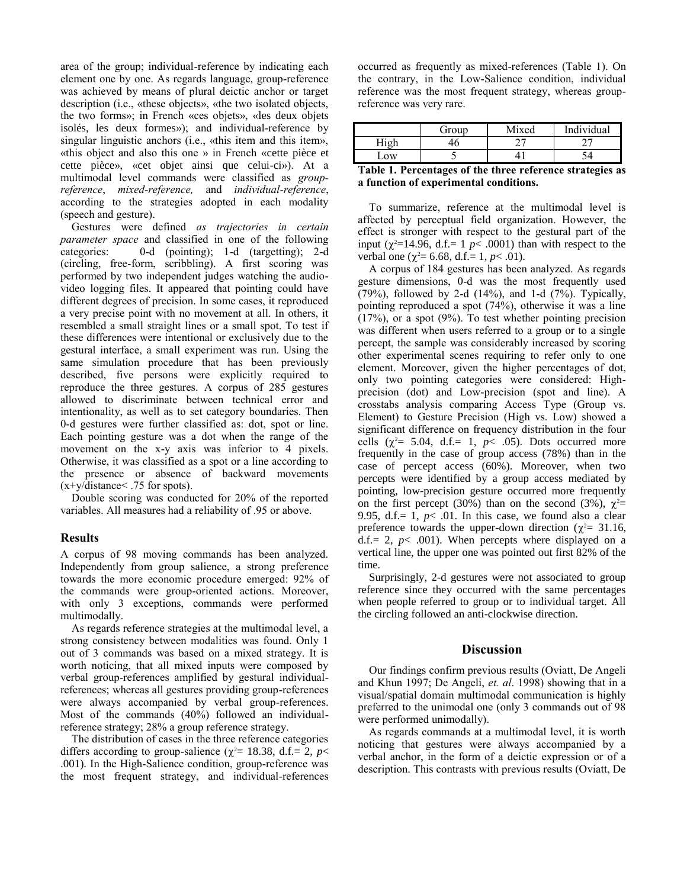area of the group; individual-reference by indicating each element one by one. As regards language, group-reference was achieved by means of plural deictic anchor or target description (i.e., «these objects», «the two isolated objects, the two forms»; in French «ces objets», «les deux objets isolés, les deux formes»); and individual-reference by singular linguistic anchors (i.e., «this item and this item», «this object and also this one » in French «cette pièce et cette pièce», «cet objet ainsi que celui-ci»). At a multimodal level commands were classified as *groupreference*, *mixed-reference,* and *individual-reference*, according to the strategies adopted in each modality (speech and gesture).

Gestures were defined *as trajectories in certain parameter space* and classified in one of the following categories: 0-d (pointing); 1-d (targetting); 2-d (circling, free-form, scribbling). A first scoring was performed by two independent judges watching the audiovideo logging files. It appeared that pointing could have different degrees of precision. In some cases, it reproduced a very precise point with no movement at all. In others, it resembled a small straight lines or a small spot. To test if these differences were intentional or exclusively due to the gestural interface, a small experiment was run. Using the same simulation procedure that has been previously described, five persons were explicitly required to reproduce the three gestures. A corpus of 285 gestures allowed to discriminate between technical error and intentionality, as well as to set category boundaries. Then 0-d gestures were further classified as: dot, spot or line. Each pointing gesture was a dot when the range of the movement on the x-y axis was inferior to 4 pixels. Otherwise, it was classified as a spot or a line according to the presence or absence of backward movements  $(x+y/distance < .75$  for spots).

Double scoring was conducted for 20% of the reported variables. All measures had a reliability of .95 or above.

#### **Results**

A corpus of 98 moving commands has been analyzed. Independently from group salience, a strong preference towards the more economic procedure emerged: 92% of the commands were group-oriented actions. Moreover, with only 3 exceptions, commands were performed multimodally.

As regards reference strategies at the multimodal level, a strong consistency between modalities was found. Only 1 out of 3 commands was based on a mixed strategy. It is worth noticing, that all mixed inputs were composed by verbal group-references amplified by gestural individualreferences; whereas all gestures providing group-references were always accompanied by verbal group-references. Most of the commands (40%) followed an individualreference strategy; 28% a group reference strategy.

The distribution of cases in the three reference categories differs according to group-salience ( $\chi^2$  = 18.38, d.f. = 2, *p* < .001). In the High-Salience condition, group-reference was the most frequent strategy, and individual-references

occurred as frequently as mixed-references (Table 1). On the contrary, in the Low-Salience condition, individual reference was the most frequent strategy, whereas groupreference was very rare.

|            | Group | Mixed | Individual |
|------------|-------|-------|------------|
| r T*       |       |       |            |
| $\Omega$ W |       |       |            |

**Table 1. Percentages of the three reference strategies as a function of experimental conditions.**

To summarize, reference at the multimodal level is affected by perceptual field organization. However, the effect is stronger with respect to the gestural part of the input ( $\chi^2$ =14.96, d.f.= 1 *p*< .0001) than with respect to the verbal one ( $\chi^2$  = 6.68, d.f. = 1, *p* < .01).

A corpus of 184 gestures has been analyzed. As regards gesture dimensions, 0-d was the most frequently used  $(79%)$ , followed by 2-d  $(14%)$ , and 1-d  $(7%)$ . Typically, pointing reproduced a spot (74%), otherwise it was a line  $(17\%)$ , or a spot  $(9\%)$ . To test whether pointing precision was different when users referred to a group or to a single percept, the sample was considerably increased by scoring other experimental scenes requiring to refer only to one element. Moreover, given the higher percentages of dot, only two pointing categories were considered: Highprecision (dot) and Low-precision (spot and line). A crosstabs analysis comparing Access Type (Group vs. Element) to Gesture Precision (High vs. Low) showed a significant difference on frequency distribution in the four cells  $(\chi^2 = 5.04, d.f.= 1, p< .05)$ . Dots occurred more frequently in the case of group access (78%) than in the case of percept access (60%). Moreover, when two percepts were identified by a group access mediated by pointing, low-precision gesture occurred more frequently on the first percept (30%) than on the second (3%),  $\chi^2$ = 9.95, d.f.=  $1, p<$  01. In this case, we found also a clear preference towards the upper-down direction ( $\chi^2$  = 31.16, d.f.= 2,  $p$ < .001). When percepts where displayed on a vertical line, the upper one was pointed out first 82% of the time.

Surprisingly, 2-d gestures were not associated to group reference since they occurred with the same percentages when people referred to group or to individual target. All the circling followed an anti-clockwise direction.

#### **Discussion**

Our findings confirm previous results (Oviatt, De Angeli and Khun 1997; De Angeli, *et. al*. 1998) showing that in a visual/spatial domain multimodal communication is highly preferred to the unimodal one (only 3 commands out of 98 were performed unimodally).

As regards commands at a multimodal level, it is worth noticing that gestures were always accompanied by a verbal anchor, in the form of a deictic expression or of a description. This contrasts with previous results (Oviatt, De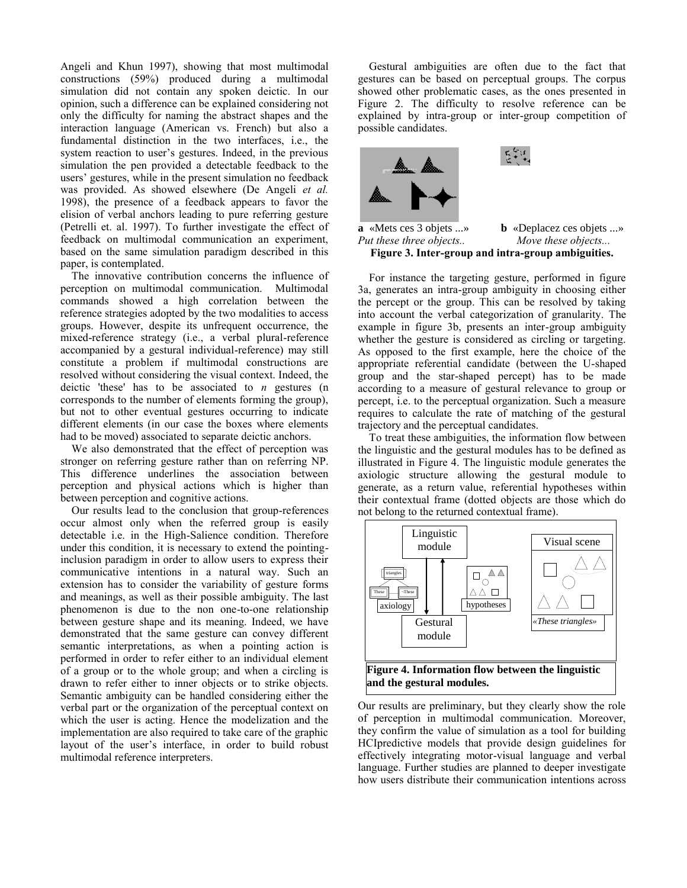Angeli and Khun 1997), showing that most multimodal constructions (59%) produced during a multimodal simulation did not contain any spoken deictic. In our opinion, such a difference can be explained considering not only the difficulty for naming the abstract shapes and the interaction language (American vs. French) but also a fundamental distinction in the two interfaces, i.e., the system reaction to user's gestures. Indeed, in the previous simulation the pen provided a detectable feedback to the users' gestures, while in the present simulation no feedback was provided. As showed elsewhere (De Angeli *et al.* 1998), the presence of a feedback appears to favor the elision of verbal anchors leading to pure referring gesture (Petrelli et. al. 1997). To further investigate the effect of feedback on multimodal communication an experiment, based on the same simulation paradigm described in this paper, is contemplated.

The innovative contribution concerns the influence of perception on multimodal communication. Multimodal commands showed a high correlation between the reference strategies adopted by the two modalities to access groups. However, despite its unfrequent occurrence, the mixed-reference strategy (i.e., a verbal plural-reference accompanied by a gestural individual-reference) may still constitute a problem if multimodal constructions are resolved without considering the visual context. Indeed, the deictic 'these' has to be associated to *n* gestures (n corresponds to the number of elements forming the group), but not to other eventual gestures occurring to indicate different elements (in our case the boxes where elements had to be moved) associated to separate deictic anchors.

We also demonstrated that the effect of perception was stronger on referring gesture rather than on referring NP. This difference underlines the association between perception and physical actions which is higher than between perception and cognitive actions.

Our results lead to the conclusion that group-references occur almost only when the referred group is easily detectable i.e. in the High-Salience condition. Therefore under this condition, it is necessary to extend the pointinginclusion paradigm in order to allow users to express their communicative intentions in a natural way. Such an extension has to consider the variability of gesture forms and meanings, as well as their possible ambiguity. The last phenomenon is due to the non one-to-one relationship between gesture shape and its meaning. Indeed, we have demonstrated that the same gesture can convey different semantic interpretations, as when a pointing action is performed in order to refer either to an individual element of a group or to the whole group; and when a circling is drawn to refer either to inner objects or to strike objects. Semantic ambiguity can be handled considering either the verbal part or the organization of the perceptual context on which the user is acting. Hence the modelization and the implementation are also required to take care of the graphic layout of the user's interface, in order to build robust multimodal reference interpreters.

Gestural ambiguities are often due to the fact that gestures can be based on perceptual groups. The corpus showed other problematic cases, as the ones presented in Figure 2. The difficulty to resolve reference can be explained by intra-group or inter-group competition of possible candidates.



**Figure 3. Inter-group and intra-group ambiguities.** 

For instance the targeting gesture, performed in figure 3a, generates an intra-group ambiguity in choosing either the percept or the group. This can be resolved by taking into account the verbal categorization of granularity. The example in figure 3b, presents an inter-group ambiguity whether the gesture is considered as circling or targeting. As opposed to the first example, here the choice of the appropriate referential candidate (between the U-shaped group and the star-shaped percept) has to be made according to a measure of gestural relevance to group or percept, i.e. to the perceptual organization. Such a measure requires to calculate the rate of matching of the gestural trajectory and the perceptual candidates.

To treat these ambiguities, the information flow between the linguistic and the gestural modules has to be defined as illustrated in Figure 4. The linguistic module generates the axiologic structure allowing the gestural module to generate, as a return value, referential hypotheses within their contextual frame (dotted objects are those which do not belong to the returned contextual frame).



Our results are preliminary, but they clearly show the role of perception in multimodal communication. Moreover, they confirm the value of simulation as a tool for building HCIpredictive models that provide design guidelines for effectively integrating motor-visual language and verbal language. Further studies are planned to deeper investigate how users distribute their communication intentions across